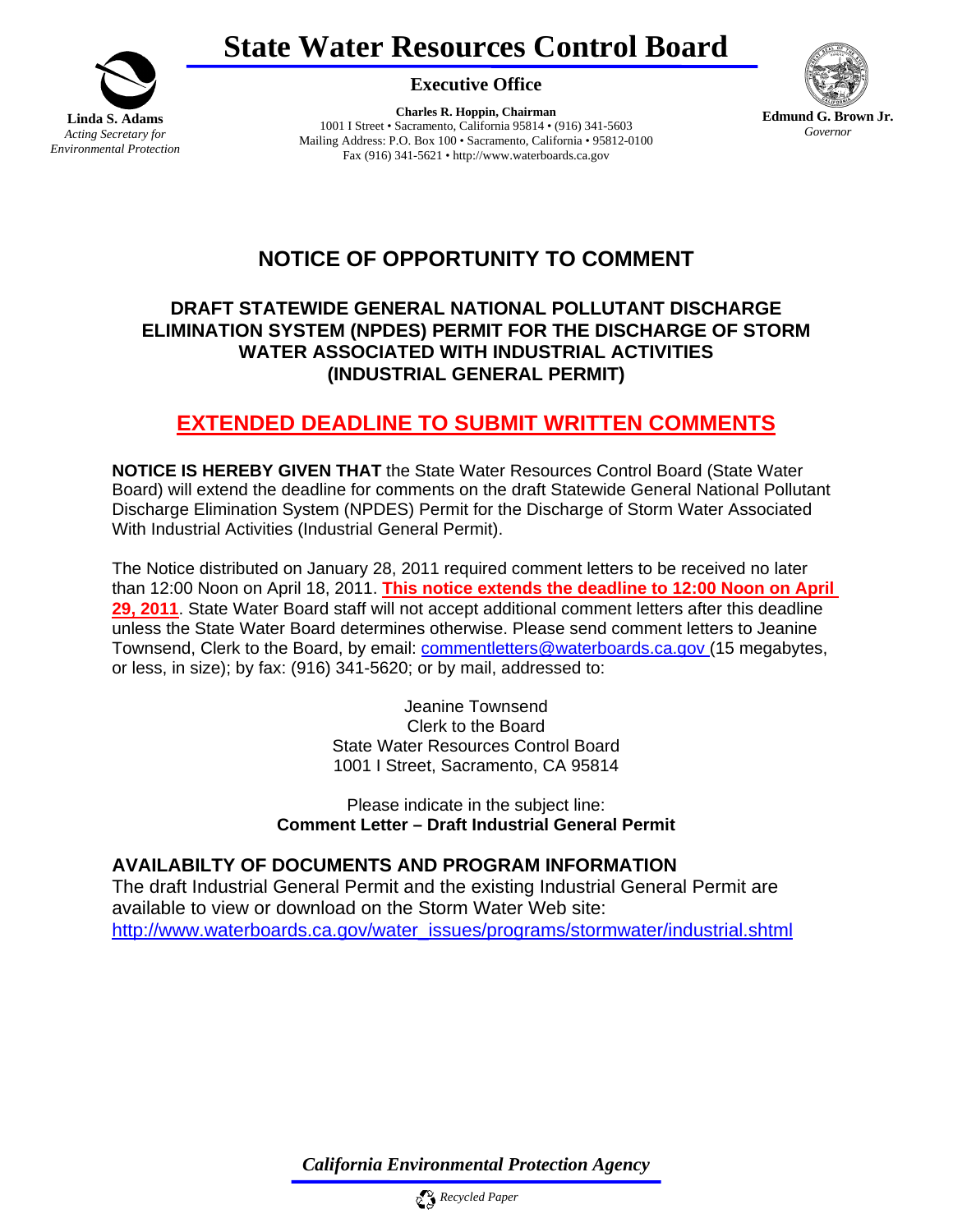



**Executive Office** 

**Charles R. Hoppin, Chairman**  1001 I Street • Sacramento, California 95814 • (916) 341-5603 Mailing Address: P.O. Box 100 • Sacramento, California • 95812-0100 Fax (916) 341-5621 • http://www.waterboards.ca.gov



## **NOTICE OF OPPORTUNITY TO COMMENT**

## **DRAFT STATEWIDE GENERAL NATIONAL POLLUTANT DISCHARGE ELIMINATION SYSTEM (NPDES) PERMIT FOR THE DISCHARGE OF STORM WATER ASSOCIATED WITH INDUSTRIAL ACTIVITIES (INDUSTRIAL GENERAL PERMIT)**

## **EXTENDED DEADLINE TO SUBMIT WRITTEN COMMENTS**

**NOTICE IS HEREBY GIVEN THAT** the State Water Resources Control Board (State Water Board) will extend the deadline for comments on the draft Statewide General National Pollutant Discharge Elimination System (NPDES) Permit for the Discharge of Storm Water Associated With Industrial Activities (Industrial General Permit).

The Notice distributed on January 28, 2011 required comment letters to be received no later than 12:00 Noon on April 18, 2011. **This notice extends the deadline to 12:00 Noon on April 29, 2011**. State Water Board staff will not accept additional comment letters after this deadline unless the State Water Board determines otherwise. Please send comment letters to Jeanine Townsend, Clerk to the Board, by email: commentletters@waterboards.ca.gov (15 megabytes, or less, in size); by fax: (916) 341-5620; or by mail, addressed to:

> Jeanine Townsend Clerk to the Board State Water Resources Control Board 1001 I Street, Sacramento, CA 95814

Please indicate in the subject line: **Comment Letter – Draft Industrial General Permit**

## **AVAILABILTY OF DOCUMENTS AND PROGRAM INFORMATION**

The draft Industrial General Permit and the existing Industrial General Permit are available to view or download on the Storm Water Web site: http://www.waterboards.ca.gov/water\_issues/programs/stormwater/industrial.shtml

*California Environmental Protection Agency*